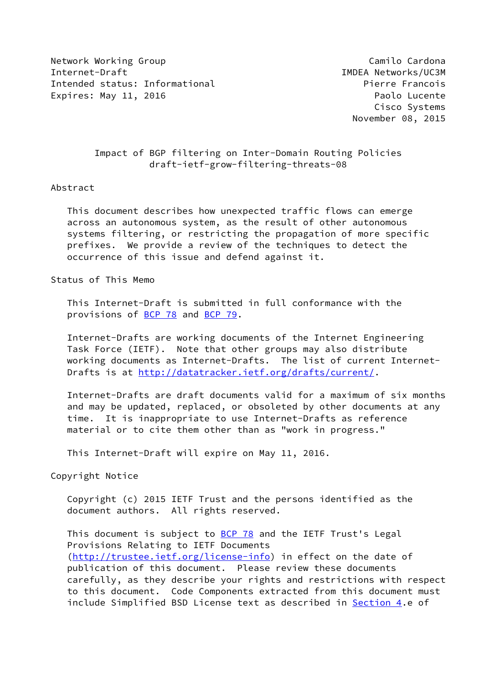Network Working Group Camilo Cardona Network Working Group Camilo Cardona Internet-Draft IMDEA Networks/UC3M Intended status: Informational example and the Pierre Francois Expires: May 11, 2016 **Paolo Lucente** 

 Cisco Systems November 08, 2015

# Impact of BGP filtering on Inter-Domain Routing Policies draft-ietf-grow-filtering-threats-08

#### Abstract

 This document describes how unexpected traffic flows can emerge across an autonomous system, as the result of other autonomous systems filtering, or restricting the propagation of more specific prefixes. We provide a review of the techniques to detect the occurrence of this issue and defend against it.

Status of This Memo

 This Internet-Draft is submitted in full conformance with the provisions of [BCP 78](https://datatracker.ietf.org/doc/pdf/bcp78) and [BCP 79](https://datatracker.ietf.org/doc/pdf/bcp79).

 Internet-Drafts are working documents of the Internet Engineering Task Force (IETF). Note that other groups may also distribute working documents as Internet-Drafts. The list of current Internet Drafts is at<http://datatracker.ietf.org/drafts/current/>.

 Internet-Drafts are draft documents valid for a maximum of six months and may be updated, replaced, or obsoleted by other documents at any time. It is inappropriate to use Internet-Drafts as reference material or to cite them other than as "work in progress."

This Internet-Draft will expire on May 11, 2016.

Copyright Notice

 Copyright (c) 2015 IETF Trust and the persons identified as the document authors. All rights reserved.

This document is subject to **[BCP 78](https://datatracker.ietf.org/doc/pdf/bcp78)** and the IETF Trust's Legal Provisions Relating to IETF Documents [\(http://trustee.ietf.org/license-info](http://trustee.ietf.org/license-info)) in effect on the date of publication of this document. Please review these documents carefully, as they describe your rights and restrictions with respect to this document. Code Components extracted from this document must include Simplified BSD License text as described in [Section 4.](#page-10-0)e of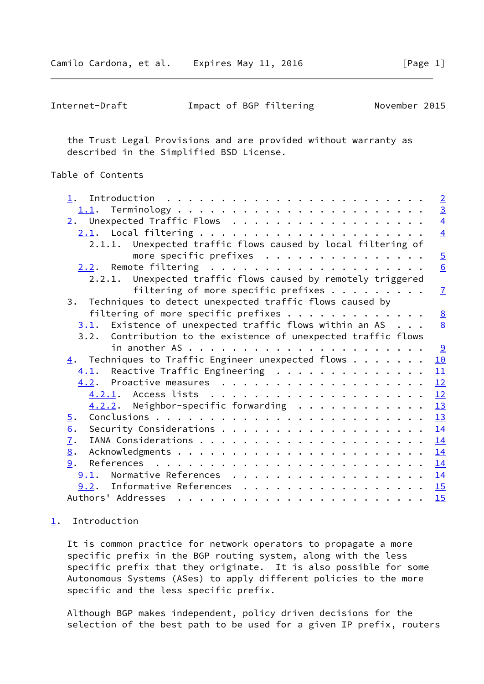<span id="page-1-1"></span>

| Internet-Draft | Impact of BGP filtering |  |  | November 2015 |  |
|----------------|-------------------------|--|--|---------------|--|
|----------------|-------------------------|--|--|---------------|--|

 the Trust Legal Provisions and are provided without warranty as described in the Simplified BSD License.

## Table of Contents

|                                                                   | $\overline{2}$ |
|-------------------------------------------------------------------|----------------|
|                                                                   | $\overline{3}$ |
|                                                                   | $\overline{4}$ |
|                                                                   | $\overline{4}$ |
| 2.1.1. Unexpected traffic flows caused by local filtering of      |                |
| more specific prefixes                                            | $\overline{5}$ |
|                                                                   | 6              |
| 2.2.1. Unexpected traffic flows caused by remotely triggered      |                |
| filtering of more specific prefixes $\cdots$                      | $\overline{1}$ |
| 3. Techniques to detect unexpected traffic flows caused by        |                |
| filtering of more specific prefixes                               | 8              |
| $3.1$ . Existence of unexpected traffic flows within an AS        | 8              |
|                                                                   |                |
| 3.2. Contribution to the existence of unexpected traffic flows    |                |
|                                                                   |                |
| $\underline{4}$ . Techniques to Traffic Engineer unexpected flows | 10             |
| $\underline{4.1}$ . Reactive Traffic Engineering                  | 11             |
|                                                                   | 12             |
|                                                                   | 12             |
| $4.2.2$ . Neighbor-specific forwarding                            | 13             |
| 5.                                                                | 13             |
| 6.                                                                | 14             |
| $\mathbf{I}$ .                                                    | 14             |
| 8.                                                                | 14             |
| 9.                                                                | 14             |
| Normative References<br>9.1.                                      | 14             |
| Informative References<br>9.2.                                    | 15             |
|                                                                   | 15             |
|                                                                   |                |

## <span id="page-1-0"></span>[1](#page-1-0). Introduction

 It is common practice for network operators to propagate a more specific prefix in the BGP routing system, along with the less specific prefix that they originate. It is also possible for some Autonomous Systems (ASes) to apply different policies to the more specific and the less specific prefix.

 Although BGP makes independent, policy driven decisions for the selection of the best path to be used for a given IP prefix, routers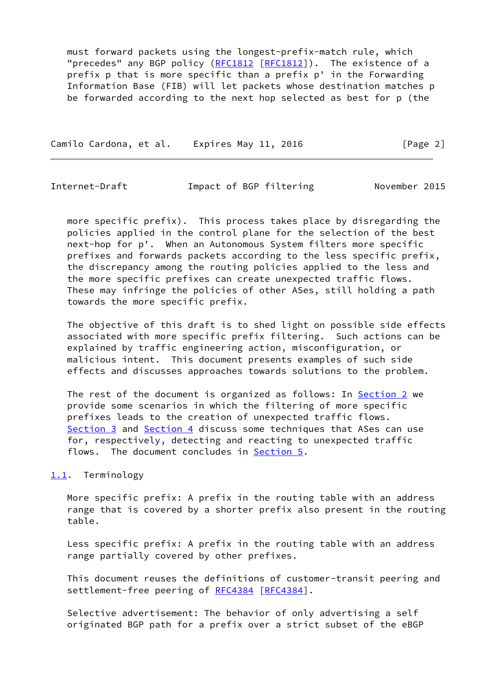must forward packets using the longest-prefix-match rule, which "precedes" any BGP policy ([RFC1812](https://datatracker.ietf.org/doc/pdf/rfc1812) [[RFC1812\]](https://datatracker.ietf.org/doc/pdf/rfc1812)). The existence of a prefix p that is more specific than a prefix p' in the Forwarding Information Base (FIB) will let packets whose destination matches p be forwarded according to the next hop selected as best for p (the

Camilo Cardona, et al. Expires May 11, 2016 **[Page 2]** 

<span id="page-2-1"></span>Internet-Draft Impact of BGP filtering November 2015

 more specific prefix). This process takes place by disregarding the policies applied in the control plane for the selection of the best next-hop for p'. When an Autonomous System filters more specific prefixes and forwards packets according to the less specific prefix, the discrepancy among the routing policies applied to the less and the more specific prefixes can create unexpected traffic flows. These may infringe the policies of other ASes, still holding a path towards the more specific prefix.

 The objective of this draft is to shed light on possible side effects associated with more specific prefix filtering. Such actions can be explained by traffic engineering action, misconfiguration, or malicious intent. This document presents examples of such side effects and discusses approaches towards solutions to the problem.

The rest of the document is organized as follows: In [Section 2](#page-3-0) we provide some scenarios in which the filtering of more specific prefixes leads to the creation of unexpected traffic flows. [Section 3](#page-8-1) and [Section 4](#page-10-0) discuss some techniques that ASes can use for, respectively, detecting and reacting to unexpected traffic flows. The document concludes in [Section 5.](#page-14-0)

### <span id="page-2-0"></span>[1.1](#page-2-0). Terminology

 More specific prefix: A prefix in the routing table with an address range that is covered by a shorter prefix also present in the routing table.

 Less specific prefix: A prefix in the routing table with an address range partially covered by other prefixes.

 This document reuses the definitions of customer-transit peering and settlement-free peering of [RFC4384](https://datatracker.ietf.org/doc/pdf/rfc4384) [[RFC4384\]](https://datatracker.ietf.org/doc/pdf/rfc4384).

 Selective advertisement: The behavior of only advertising a self originated BGP path for a prefix over a strict subset of the eBGP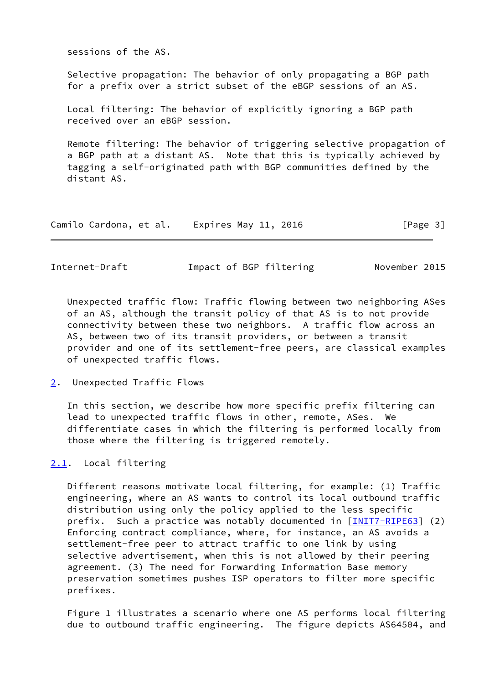sessions of the AS.

 Selective propagation: The behavior of only propagating a BGP path for a prefix over a strict subset of the eBGP sessions of an AS.

 Local filtering: The behavior of explicitly ignoring a BGP path received over an eBGP session.

 Remote filtering: The behavior of triggering selective propagation of a BGP path at a distant AS. Note that this is typically achieved by tagging a self-originated path with BGP communities defined by the distant AS.

| Camilo Cardona, et al. |  |  | Expires May 11, 2016 |  | [Page 3] |  |
|------------------------|--|--|----------------------|--|----------|--|
|------------------------|--|--|----------------------|--|----------|--|

<span id="page-3-1"></span>Internet-Draft Impact of BGP filtering November 2015

 Unexpected traffic flow: Traffic flowing between two neighboring ASes of an AS, although the transit policy of that AS is to not provide connectivity between these two neighbors. A traffic flow across an AS, between two of its transit providers, or between a transit provider and one of its settlement-free peers, are classical examples of unexpected traffic flows.

<span id="page-3-0"></span>[2](#page-3-0). Unexpected Traffic Flows

 In this section, we describe how more specific prefix filtering can lead to unexpected traffic flows in other, remote, ASes. We differentiate cases in which the filtering is performed locally from those where the filtering is triggered remotely.

<span id="page-3-2"></span>[2.1](#page-3-2). Local filtering

 Different reasons motivate local filtering, for example: (1) Traffic engineering, where an AS wants to control its local outbound traffic distribution using only the policy applied to the less specific prefix. Such a practice was notably documented in [[INIT7-RIPE63\]](#page-16-0) (2) Enforcing contract compliance, where, for instance, an AS avoids a settlement-free peer to attract traffic to one link by using selective advertisement, when this is not allowed by their peering agreement. (3) The need for Forwarding Information Base memory preservation sometimes pushes ISP operators to filter more specific prefixes.

 Figure 1 illustrates a scenario where one AS performs local filtering due to outbound traffic engineering. The figure depicts AS64504, and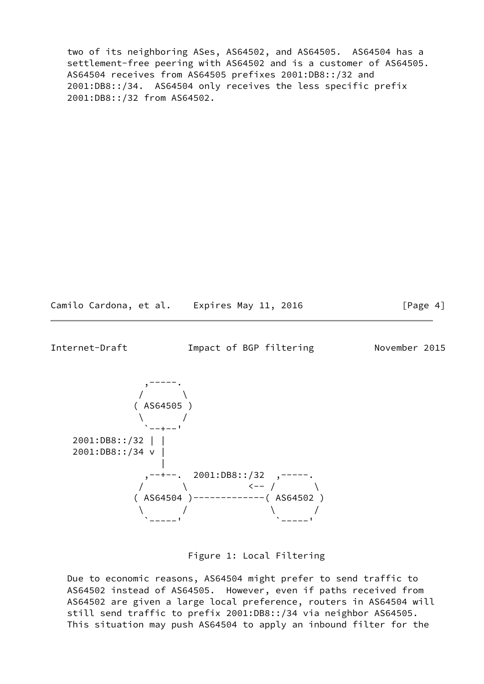two of its neighboring ASes, AS64502, and AS64505. AS64504 has a settlement-free peering with AS64502 and is a customer of AS64505. AS64504 receives from AS64505 prefixes 2001:DB8::/32 and 2001:DB8::/34. AS64504 only receives the less specific prefix 2001:DB8::/32 from AS64502.

Camilo Cardona, et al. Expires May 11, 2016 [Page 4]

<span id="page-4-0"></span>Internet-Draft **Impact of BGP filtering November 2015** 



Figure 1: Local Filtering

 Due to economic reasons, AS64504 might prefer to send traffic to AS64502 instead of AS64505. However, even if paths received from AS64502 are given a large local preference, routers in AS64504 will still send traffic to prefix 2001:DB8::/34 via neighbor AS64505. This situation may push AS64504 to apply an inbound filter for the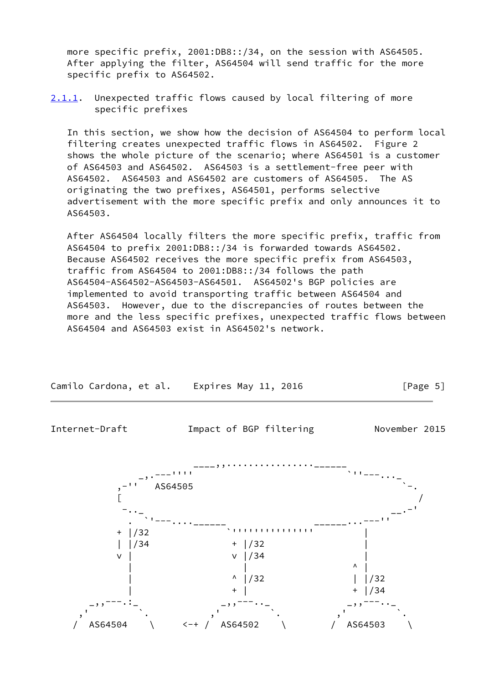more specific prefix, 2001:DB8::/34, on the session with AS64505. After applying the filter, AS64504 will send traffic for the more specific prefix to AS64502.

<span id="page-5-1"></span>[2.1.1](#page-5-1). Unexpected traffic flows caused by local filtering of more specific prefixes

 In this section, we show how the decision of AS64504 to perform local filtering creates unexpected traffic flows in AS64502. Figure 2 shows the whole picture of the scenario; where AS64501 is a customer of AS64503 and AS64502. AS64503 is a settlement-free peer with AS64502. AS64503 and AS64502 are customers of AS64505. The AS originating the two prefixes, AS64501, performs selective advertisement with the more specific prefix and only announces it to AS64503.

 After AS64504 locally filters the more specific prefix, traffic from AS64504 to prefix 2001:DB8::/34 is forwarded towards AS64502. Because AS64502 receives the more specific prefix from AS64503, traffic from AS64504 to 2001:DB8::/34 follows the path AS64504-AS64502-AS64503-AS64501. AS64502's BGP policies are implemented to avoid transporting traffic between AS64504 and AS64503. However, due to the discrepancies of routes between the more and the less specific prefixes, unexpected traffic flows between AS64504 and AS64503 exist in AS64502's network.



Camilo Cardona, et al. Expires May 11, 2016 **[Page 5]** 

<span id="page-5-0"></span>Internet-Draft Impact of BGP filtering November 2015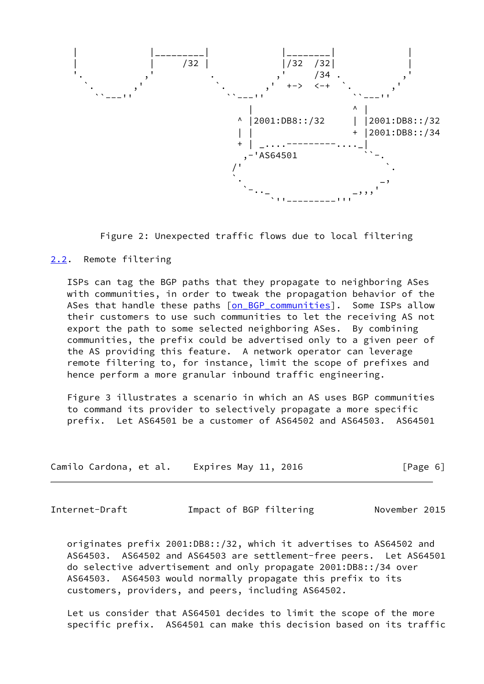

Figure 2: Unexpected traffic flows due to local filtering

#### <span id="page-6-0"></span>[2.2](#page-6-0). Remote filtering

 ISPs can tag the BGP paths that they propagate to neighboring ASes with communities, in order to tweak the propagation behavior of the ASes that handle these paths [on BGP communities]. Some ISPs allow their customers to use such communities to let the receiving AS not export the path to some selected neighboring ASes. By combining communities, the prefix could be advertised only to a given peer of the AS providing this feature. A network operator can leverage remote filtering to, for instance, limit the scope of prefixes and hence perform a more granular inbound traffic engineering.

 Figure 3 illustrates a scenario in which an AS uses BGP communities to command its provider to selectively propagate a more specific prefix. Let AS64501 be a customer of AS64502 and AS64503. AS64501

| Camilo Cardona, et al. |  | Expires May 11, 2016 | [Page 6] |
|------------------------|--|----------------------|----------|
|------------------------|--|----------------------|----------|

<span id="page-6-1"></span>Internet-Draft **Impact of BGP filtering Movember 2015** 

 originates prefix 2001:DB8::/32, which it advertises to AS64502 and AS64503. AS64502 and AS64503 are settlement-free peers. Let AS64501 do selective advertisement and only propagate 2001:DB8::/34 over AS64503. AS64503 would normally propagate this prefix to its customers, providers, and peers, including AS64502.

 Let us consider that AS64501 decides to limit the scope of the more specific prefix. AS64501 can make this decision based on its traffic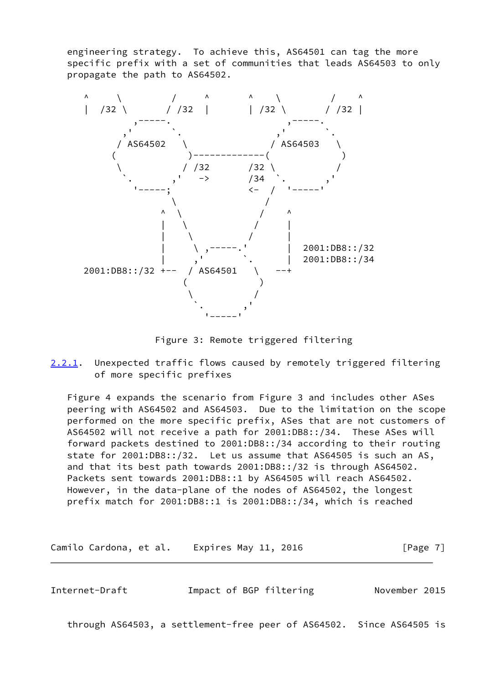engineering strategy. To achieve this, AS64501 can tag the more specific prefix with a set of communities that leads AS64503 to only propagate the path to AS64502.



Figure 3: Remote triggered filtering

<span id="page-7-1"></span>[2.2.1](#page-7-1). Unexpected traffic flows caused by remotely triggered filtering of more specific prefixes

 Figure 4 expands the scenario from Figure 3 and includes other ASes peering with AS64502 and AS64503. Due to the limitation on the scope performed on the more specific prefix, ASes that are not customers of AS64502 will not receive a path for 2001:DB8::/34. These ASes will forward packets destined to 2001:DB8::/34 according to their routing state for 2001:DB8::/32. Let us assume that AS64505 is such an AS, and that its best path towards 2001:DB8::/32 is through AS64502. Packets sent towards 2001:DB8::1 by AS64505 will reach AS64502. However, in the data-plane of the nodes of AS64502, the longest prefix match for 2001:DB8::1 is 2001:DB8::/34, which is reached

Camilo Cardona, et al. Expires May 11, 2016 [Page 7]

<span id="page-7-0"></span>Internet-Draft Impact of BGP filtering November 2015

through AS64503, a settlement-free peer of AS64502. Since AS64505 is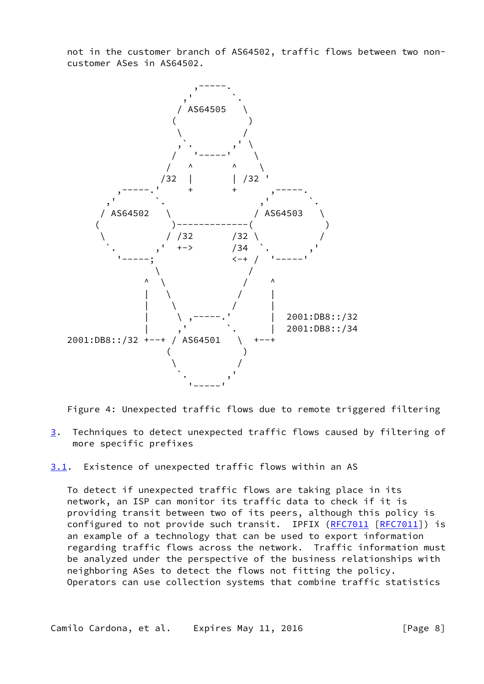not in the customer branch of AS64502, traffic flows between two non customer ASes in AS64502.



Figure 4: Unexpected traffic flows due to remote triggered filtering

<span id="page-8-1"></span>[3](#page-8-1). Techniques to detect unexpected traffic flows caused by filtering of more specific prefixes

<span id="page-8-0"></span>[3.1](#page-8-0). Existence of unexpected traffic flows within an AS

 To detect if unexpected traffic flows are taking place in its network, an ISP can monitor its traffic data to check if it is providing transit between two of its peers, although this policy is configured to not provide such transit. IPFIX [\(RFC7011](https://datatracker.ietf.org/doc/pdf/rfc7011) [\[RFC7011](https://datatracker.ietf.org/doc/pdf/rfc7011)]) is an example of a technology that can be used to export information regarding traffic flows across the network. Traffic information must be analyzed under the perspective of the business relationships with neighboring ASes to detect the flows not fitting the policy. Operators can use collection systems that combine traffic statistics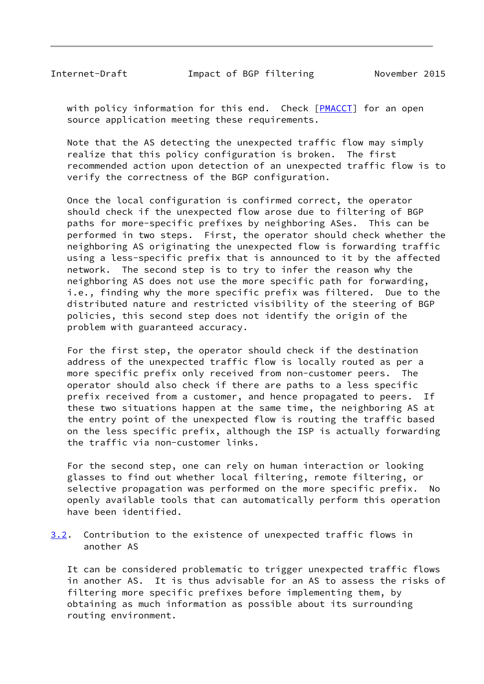<span id="page-9-0"></span>Internet-Draft Impact of BGP filtering November 2015

with policy information for this end. Check [\[PMACCT](#page-16-1)] for an open source application meeting these requirements.

 Note that the AS detecting the unexpected traffic flow may simply realize that this policy configuration is broken. The first recommended action upon detection of an unexpected traffic flow is to verify the correctness of the BGP configuration.

 Once the local configuration is confirmed correct, the operator should check if the unexpected flow arose due to filtering of BGP paths for more-specific prefixes by neighboring ASes. This can be performed in two steps. First, the operator should check whether the neighboring AS originating the unexpected flow is forwarding traffic using a less-specific prefix that is announced to it by the affected network. The second step is to try to infer the reason why the neighboring AS does not use the more specific path for forwarding, i.e., finding why the more specific prefix was filtered. Due to the distributed nature and restricted visibility of the steering of BGP policies, this second step does not identify the origin of the problem with guaranteed accuracy.

 For the first step, the operator should check if the destination address of the unexpected traffic flow is locally routed as per a more specific prefix only received from non-customer peers. The operator should also check if there are paths to a less specific prefix received from a customer, and hence propagated to peers. If these two situations happen at the same time, the neighboring AS at the entry point of the unexpected flow is routing the traffic based on the less specific prefix, although the ISP is actually forwarding the traffic via non-customer links.

 For the second step, one can rely on human interaction or looking glasses to find out whether local filtering, remote filtering, or selective propagation was performed on the more specific prefix. No openly available tools that can automatically perform this operation have been identified.

<span id="page-9-1"></span>[3.2](#page-9-1). Contribution to the existence of unexpected traffic flows in another AS

 It can be considered problematic to trigger unexpected traffic flows in another AS. It is thus advisable for an AS to assess the risks of filtering more specific prefixes before implementing them, by obtaining as much information as possible about its surrounding routing environment.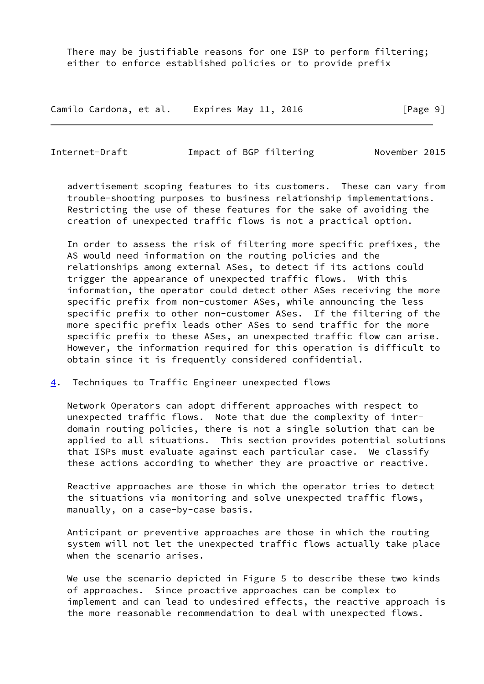There may be justifiable reasons for one ISP to perform filtering; either to enforce established policies or to provide prefix

Camilo Cardona, et al. Expires May 11, 2016 **Expires 19** 

<span id="page-10-1"></span>Internet-Draft Impact of BGP filtering November 2015

 advertisement scoping features to its customers. These can vary from trouble-shooting purposes to business relationship implementations. Restricting the use of these features for the sake of avoiding the creation of unexpected traffic flows is not a practical option.

 In order to assess the risk of filtering more specific prefixes, the AS would need information on the routing policies and the relationships among external ASes, to detect if its actions could trigger the appearance of unexpected traffic flows. With this information, the operator could detect other ASes receiving the more specific prefix from non-customer ASes, while announcing the less specific prefix to other non-customer ASes. If the filtering of the more specific prefix leads other ASes to send traffic for the more specific prefix to these ASes, an unexpected traffic flow can arise. However, the information required for this operation is difficult to obtain since it is frequently considered confidential.

<span id="page-10-0"></span>[4](#page-10-0). Techniques to Traffic Engineer unexpected flows

 Network Operators can adopt different approaches with respect to unexpected traffic flows. Note that due the complexity of inter domain routing policies, there is not a single solution that can be applied to all situations. This section provides potential solutions that ISPs must evaluate against each particular case. We classify these actions according to whether they are proactive or reactive.

 Reactive approaches are those in which the operator tries to detect the situations via monitoring and solve unexpected traffic flows, manually, on a case-by-case basis.

 Anticipant or preventive approaches are those in which the routing system will not let the unexpected traffic flows actually take place when the scenario arises.

 We use the scenario depicted in Figure 5 to describe these two kinds of approaches. Since proactive approaches can be complex to implement and can lead to undesired effects, the reactive approach is the more reasonable recommendation to deal with unexpected flows.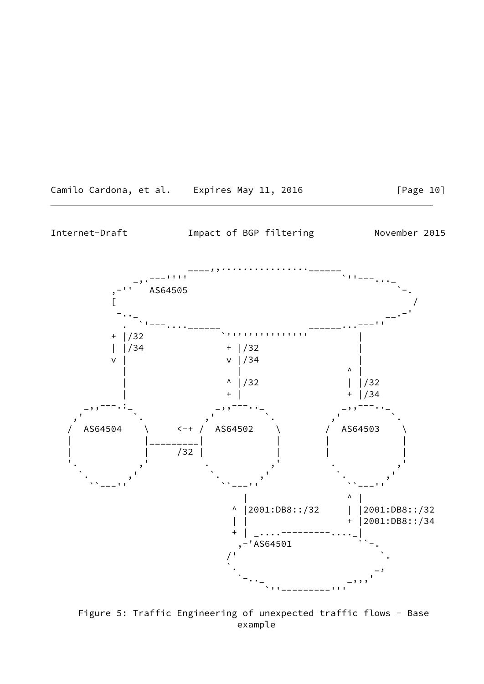<span id="page-11-0"></span>

 Figure 5: Traffic Engineering of unexpected traffic flows - Base example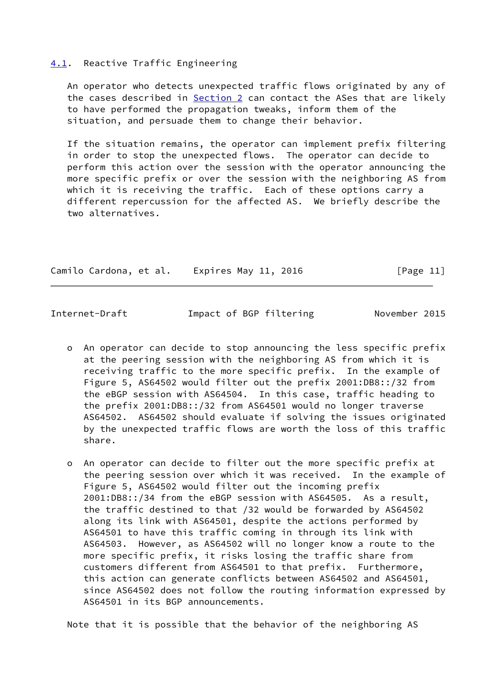#### <span id="page-12-0"></span>[4.1](#page-12-0). Reactive Traffic Engineering

 An operator who detects unexpected traffic flows originated by any of the cases described in **Section 2** can contact the ASes that are likely to have performed the propagation tweaks, inform them of the situation, and persuade them to change their behavior.

 If the situation remains, the operator can implement prefix filtering in order to stop the unexpected flows. The operator can decide to perform this action over the session with the operator announcing the more specific prefix or over the session with the neighboring AS from which it is receiving the traffic. Each of these options carry a different repercussion for the affected AS. We briefly describe the two alternatives.

| Camilo Cardona, et al. | Expires May 11, 2016 | [Page 11] |
|------------------------|----------------------|-----------|
|------------------------|----------------------|-----------|

<span id="page-12-1"></span>Internet-Draft **Impact of BGP filtering Movember 2015** 

- o An operator can decide to stop announcing the less specific prefix at the peering session with the neighboring AS from which it is receiving traffic to the more specific prefix. In the example of Figure 5, AS64502 would filter out the prefix 2001:DB8::/32 from the eBGP session with AS64504. In this case, traffic heading to the prefix 2001:DB8::/32 from AS64501 would no longer traverse AS64502. AS64502 should evaluate if solving the issues originated by the unexpected traffic flows are worth the loss of this traffic share.
- o An operator can decide to filter out the more specific prefix at the peering session over which it was received. In the example of Figure 5, AS64502 would filter out the incoming prefix 2001:DB8::/34 from the eBGP session with AS64505. As a result, the traffic destined to that /32 would be forwarded by AS64502 along its link with AS64501, despite the actions performed by AS64501 to have this traffic coming in through its link with AS64503. However, as AS64502 will no longer know a route to the more specific prefix, it risks losing the traffic share from customers different from AS64501 to that prefix. Furthermore, this action can generate conflicts between AS64502 and AS64501, since AS64502 does not follow the routing information expressed by AS64501 in its BGP announcements.

Note that it is possible that the behavior of the neighboring AS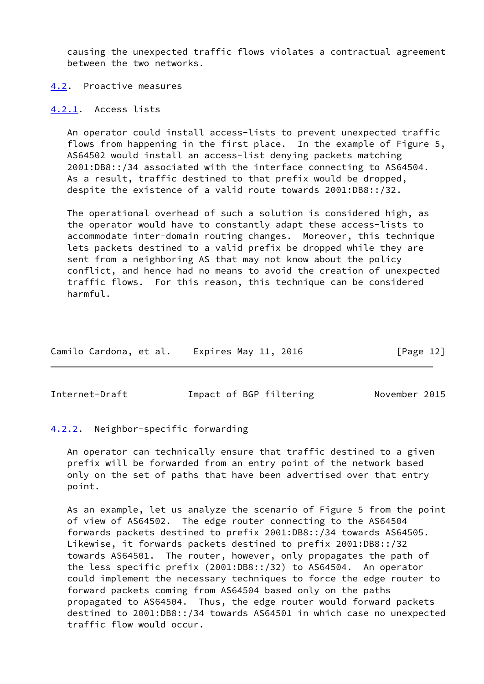causing the unexpected traffic flows violates a contractual agreement between the two networks.

<span id="page-13-0"></span>[4.2](#page-13-0). Proactive measures

<span id="page-13-1"></span>[4.2.1](#page-13-1). Access lists

 An operator could install access-lists to prevent unexpected traffic flows from happening in the first place. In the example of Figure 5, AS64502 would install an access-list denying packets matching 2001:DB8::/34 associated with the interface connecting to AS64504. As a result, traffic destined to that prefix would be dropped, despite the existence of a valid route towards 2001:DB8::/32.

 The operational overhead of such a solution is considered high, as the operator would have to constantly adapt these access-lists to accommodate inter-domain routing changes. Moreover, this technique lets packets destined to a valid prefix be dropped while they are sent from a neighboring AS that may not know about the policy conflict, and hence had no means to avoid the creation of unexpected traffic flows. For this reason, this technique can be considered harmful.

| Camilo Cardona, et al. |  | Expires May 11, 2016 |  |  | [Page 12] |  |
|------------------------|--|----------------------|--|--|-----------|--|
|------------------------|--|----------------------|--|--|-----------|--|

<span id="page-13-3"></span>Internet-Draft **Impact of BGP filtering Movember 2015** 

### <span id="page-13-2"></span>[4.2.2](#page-13-2). Neighbor-specific forwarding

 An operator can technically ensure that traffic destined to a given prefix will be forwarded from an entry point of the network based only on the set of paths that have been advertised over that entry point.

 As an example, let us analyze the scenario of Figure 5 from the point of view of AS64502. The edge router connecting to the AS64504 forwards packets destined to prefix 2001:DB8::/34 towards AS64505. Likewise, it forwards packets destined to prefix 2001:DB8::/32 towards AS64501. The router, however, only propagates the path of the less specific prefix (2001:DB8::/32) to AS64504. An operator could implement the necessary techniques to force the edge router to forward packets coming from AS64504 based only on the paths propagated to AS64504. Thus, the edge router would forward packets destined to 2001:DB8::/34 towards AS64501 in which case no unexpected traffic flow would occur.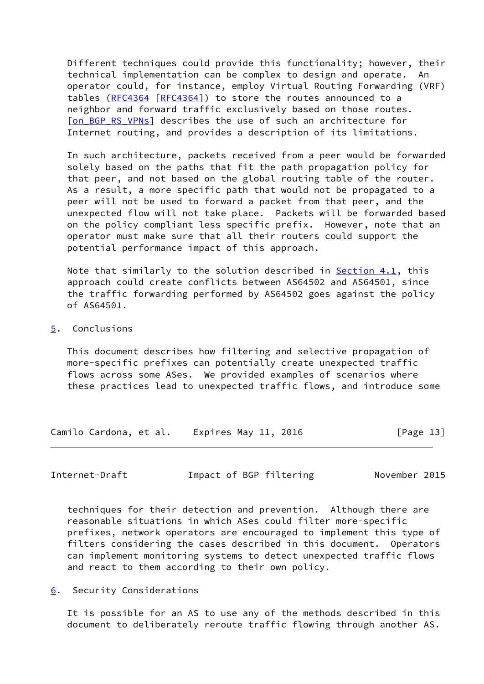Different techniques could provide this functionality; however, their technical implementation can be complex to design and operate. An operator could, for instance, employ Virtual Routing Forwarding (VRF) tables [\(RFC4364](https://datatracker.ietf.org/doc/pdf/rfc4364) [\[RFC4364](https://datatracker.ietf.org/doc/pdf/rfc4364)]) to store the routes announced to a neighbor and forward traffic exclusively based on those routes. [on BGP RS VPNs] describes the use of such an architecture for Internet routing, and provides a description of its limitations.

 In such architecture, packets received from a peer would be forwarded solely based on the paths that fit the path propagation policy for that peer, and not based on the global routing table of the router. As a result, a more specific path that would not be propagated to a peer will not be used to forward a packet from that peer, and the unexpected flow will not take place. Packets will be forwarded based on the policy compliant less specific prefix. However, note that an operator must make sure that all their routers could support the potential performance impact of this approach.

 Note that similarly to the solution described in [Section 4.1](#page-12-0), this approach could create conflicts between AS64502 and AS64501, since the traffic forwarding performed by AS64502 goes against the policy of AS64501.

# <span id="page-14-0"></span>[5](#page-14-0). Conclusions

 This document describes how filtering and selective propagation of more-specific prefixes can potentially create unexpected traffic flows across some ASes. We provided examples of scenarios where these practices lead to unexpected traffic flows, and introduce some

Camilo Cardona, et al. Expires May 11, 2016 [Page 13]

<span id="page-14-2"></span>Internet-Draft Impact of BGP filtering November 2015

 techniques for their detection and prevention. Although there are reasonable situations in which ASes could filter more-specific prefixes, network operators are encouraged to implement this type of filters considering the cases described in this document. Operators can implement monitoring systems to detect unexpected traffic flows and react to them according to their own policy.

<span id="page-14-1"></span>[6](#page-14-1). Security Considerations

 It is possible for an AS to use any of the methods described in this document to deliberately reroute traffic flowing through another AS.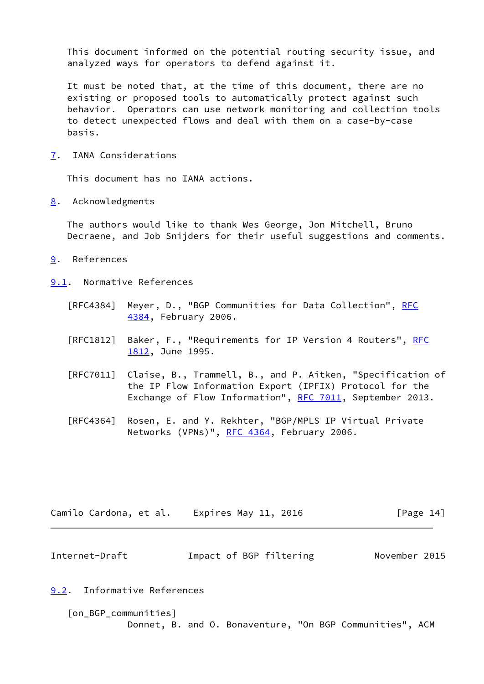This document informed on the potential routing security issue, and analyzed ways for operators to defend against it.

 It must be noted that, at the time of this document, there are no existing or proposed tools to automatically protect against such behavior. Operators can use network monitoring and collection tools to detect unexpected flows and deal with them on a case-by-case basis.

<span id="page-15-0"></span>[7](#page-15-0). IANA Considerations

This document has no IANA actions.

<span id="page-15-1"></span>[8](#page-15-1). Acknowledgments

 The authors would like to thank Wes George, Jon Mitchell, Bruno Decraene, and Job Snijders for their useful suggestions and comments.

- <span id="page-15-2"></span>[9](#page-15-2). References
- <span id="page-15-3"></span>[9.1](#page-15-3). Normative References
	- [RFC4384] Meyer, D., "BGP Communities for Data Collection", [RFC](https://datatracker.ietf.org/doc/pdf/rfc4384) [4384,](https://datatracker.ietf.org/doc/pdf/rfc4384) February 2006.
	- [[RFC](https://datatracker.ietf.org/doc/pdf/rfc1812)1812] Baker, F., "Requirements for IP Version 4 Routers", RFC [1812,](https://datatracker.ietf.org/doc/pdf/rfc1812) June 1995.
	- [RFC7011] Claise, B., Trammell, B., and P. Aitken, "Specification of the IP Flow Information Export (IPFIX) Protocol for the Exchange of Flow Information", [RFC 7011](https://datatracker.ietf.org/doc/pdf/rfc7011), September 2013.
	- [RFC4364] Rosen, E. and Y. Rekhter, "BGP/MPLS IP Virtual Private Networks (VPNs)", [RFC 4364](https://datatracker.ietf.org/doc/pdf/rfc4364), February 2006.

| Camilo Cardona, et al. | Expires May 11, 2016 | [Page 14] |
|------------------------|----------------------|-----------|
|------------------------|----------------------|-----------|

<span id="page-15-5"></span>

| Impact of BGP filtering<br>Internet-Draft | November 2015 |
|-------------------------------------------|---------------|
|-------------------------------------------|---------------|

<span id="page-15-4"></span>[9.2](#page-15-4). Informative References

<span id="page-15-6"></span> [on\_BGP\_communities] Donnet, B. and O. Bonaventure, "On BGP Communities", ACM